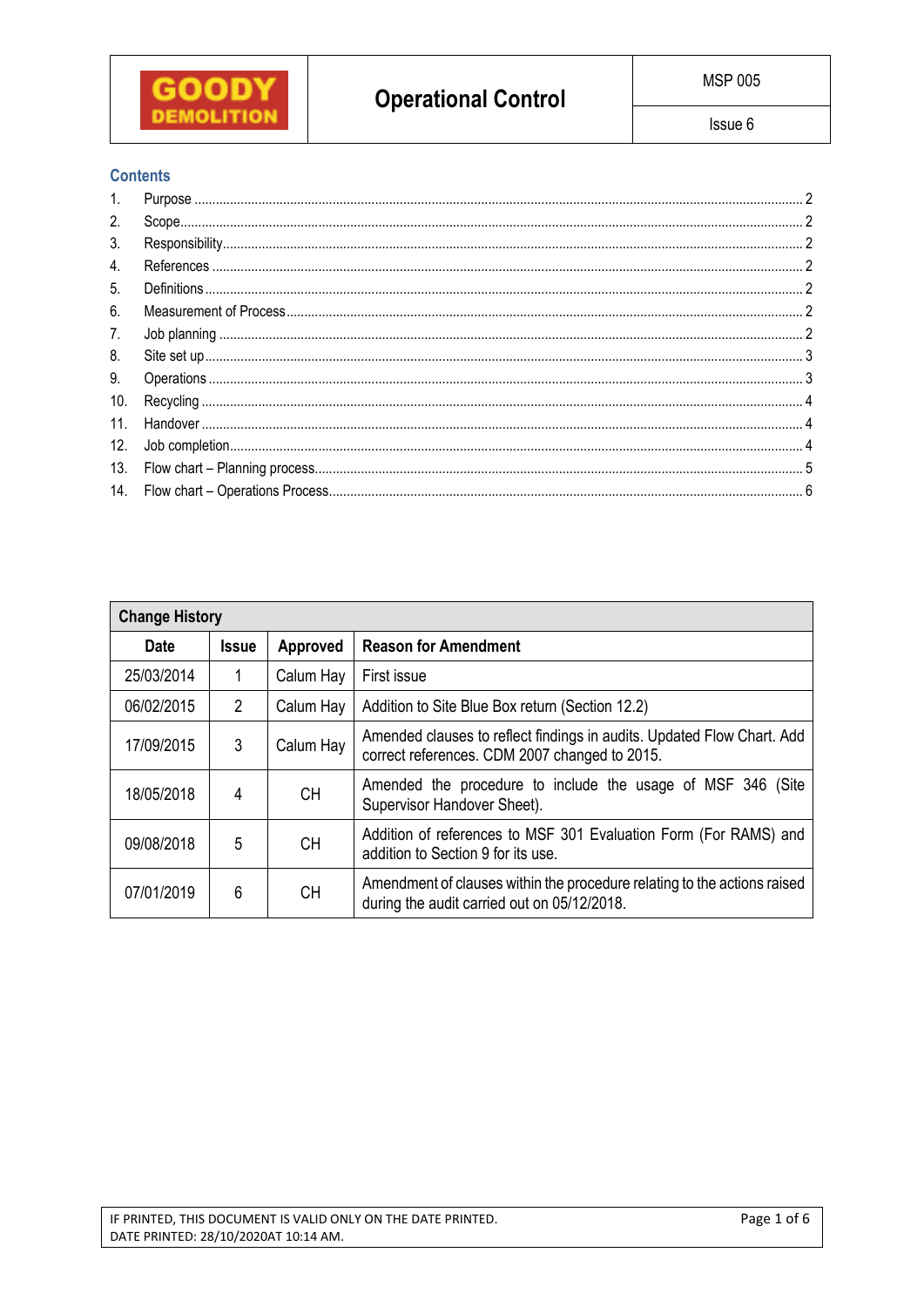

# **Contents**

| 1.              |  |
|-----------------|--|
| 2.              |  |
| 3.              |  |
| 4.              |  |
| 5.              |  |
| 6.              |  |
| 7.              |  |
| 8.              |  |
| 9.              |  |
| 10.             |  |
| 11 <sub>1</sub> |  |
| 12.             |  |
|                 |  |
|                 |  |

| <b>Change History</b> |               |           |                                                                                                                         |  |  |  |
|-----------------------|---------------|-----------|-------------------------------------------------------------------------------------------------------------------------|--|--|--|
| <b>Date</b>           | <b>Issue</b>  | Approved  | <b>Reason for Amendment</b>                                                                                             |  |  |  |
| 25/03/2014            |               | Calum Hay | First issue                                                                                                             |  |  |  |
| 06/02/2015            | $\mathcal{P}$ | Calum Hay | Addition to Site Blue Box return (Section 12.2)                                                                         |  |  |  |
| 17/09/2015            | 3             | Calum Hay | Amended clauses to reflect findings in audits. Updated Flow Chart. Add<br>correct references. CDM 2007 changed to 2015. |  |  |  |
| 18/05/2018            | 4             | CH.       | Amended the procedure to include the usage of MSF 346 (Site<br>Supervisor Handover Sheet).                              |  |  |  |
| 09/08/2018            | 5             | CH.       | Addition of references to MSF 301 Evaluation Form (For RAMS) and<br>addition to Section 9 for its use.                  |  |  |  |
| 07/01/2019            | 6             | <b>CH</b> | Amendment of clauses within the procedure relating to the actions raised<br>during the audit carried out on 05/12/2018. |  |  |  |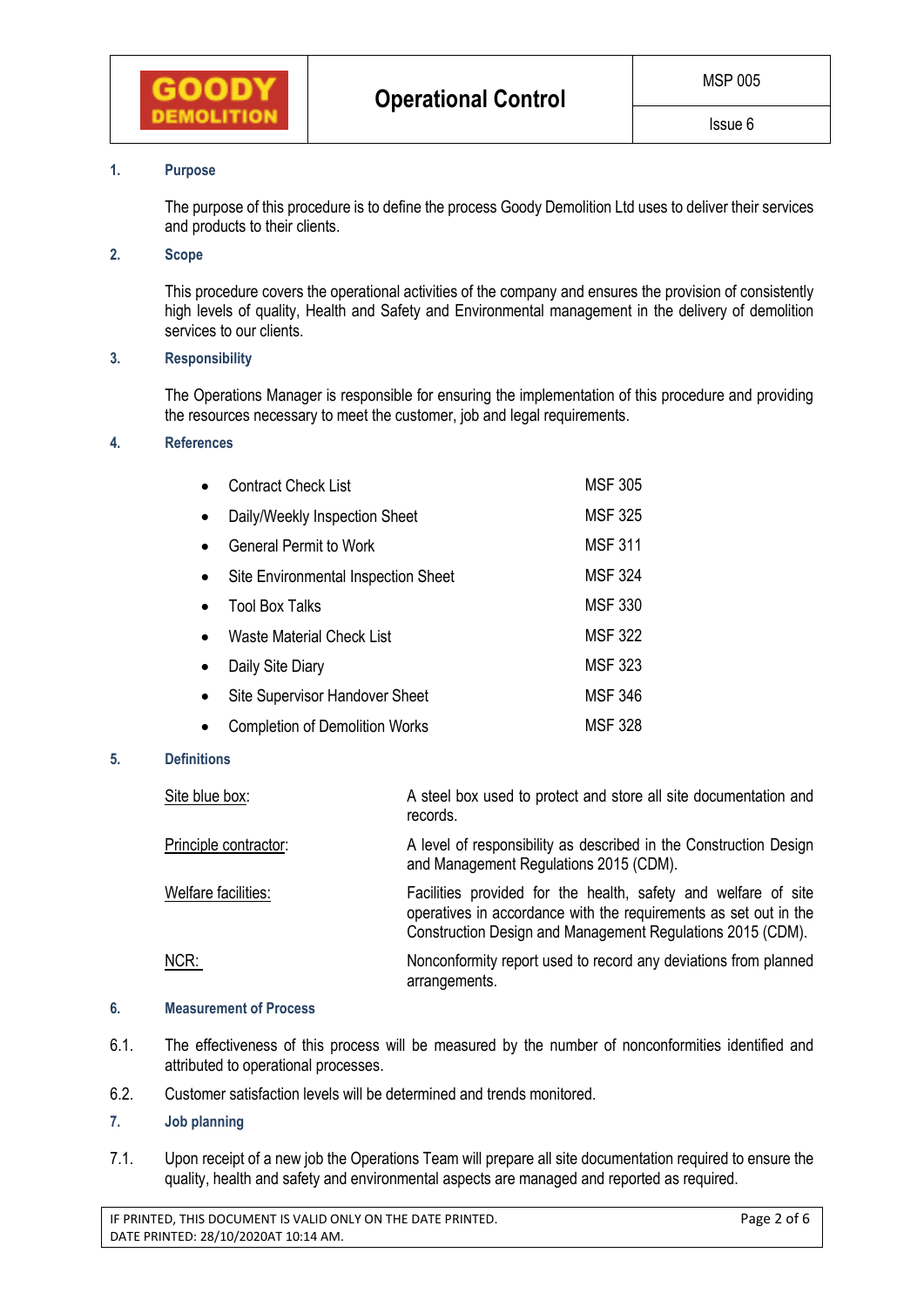

## **1. Purpose**

The purpose of this procedure is to define the process Goody Demolition Ltd uses to deliver their services and products to their clients.

## **2. Scope**

This procedure covers the operational activities of the company and ensures the provision of consistently high levels of quality, Health and Safety and Environmental management in the delivery of demolition services to our clients.

### **3. Responsibility**

The Operations Manager is responsible for ensuring the implementation of this procedure and providing the resources necessary to meet the customer, job and legal requirements.

### **4. References**

|           | <b>Contract Check List</b>            | <b>MSF 305</b> |
|-----------|---------------------------------------|----------------|
|           | Daily/Weekly Inspection Sheet         | <b>MSF 325</b> |
| $\bullet$ | <b>General Permit to Work</b>         | <b>MSF 311</b> |
|           | Site Environmental Inspection Sheet   | <b>MSF 324</b> |
|           | <b>Tool Box Talks</b>                 | <b>MSF 330</b> |
|           | Waste Material Check List             | <b>MSF 322</b> |
| $\bullet$ | Daily Site Diary                      | <b>MSF 323</b> |
|           | <b>Site Supervisor Handover Sheet</b> | <b>MSF 346</b> |
|           | <b>Completion of Demolition Works</b> | <b>MSF 328</b> |

#### **5. Definitions**

| Site blue box:        | A steel box used to protect and store all site documentation and<br>records.                                                                                                                     |
|-----------------------|--------------------------------------------------------------------------------------------------------------------------------------------------------------------------------------------------|
| Principle contractor: | A level of responsibility as described in the Construction Design<br>and Management Regulations 2015 (CDM).                                                                                      |
| Welfare facilities:   | Facilities provided for the health, safety and welfare of site<br>operatives in accordance with the requirements as set out in the<br>Construction Design and Management Regulations 2015 (CDM). |
| NCR:                  | Nonconformity report used to record any deviations from planned<br>arrangements.                                                                                                                 |

#### **6. Measurement of Process**

- 6.1. The effectiveness of this process will be measured by the number of nonconformities identified and attributed to operational processes.
- 6.2. Customer satisfaction levels will be determined and trends monitored.

# **7. Job planning**

7.1. Upon receipt of a new job the Operations Team will prepare all site documentation required to ensure the quality, health and safety and environmental aspects are managed and reported as required.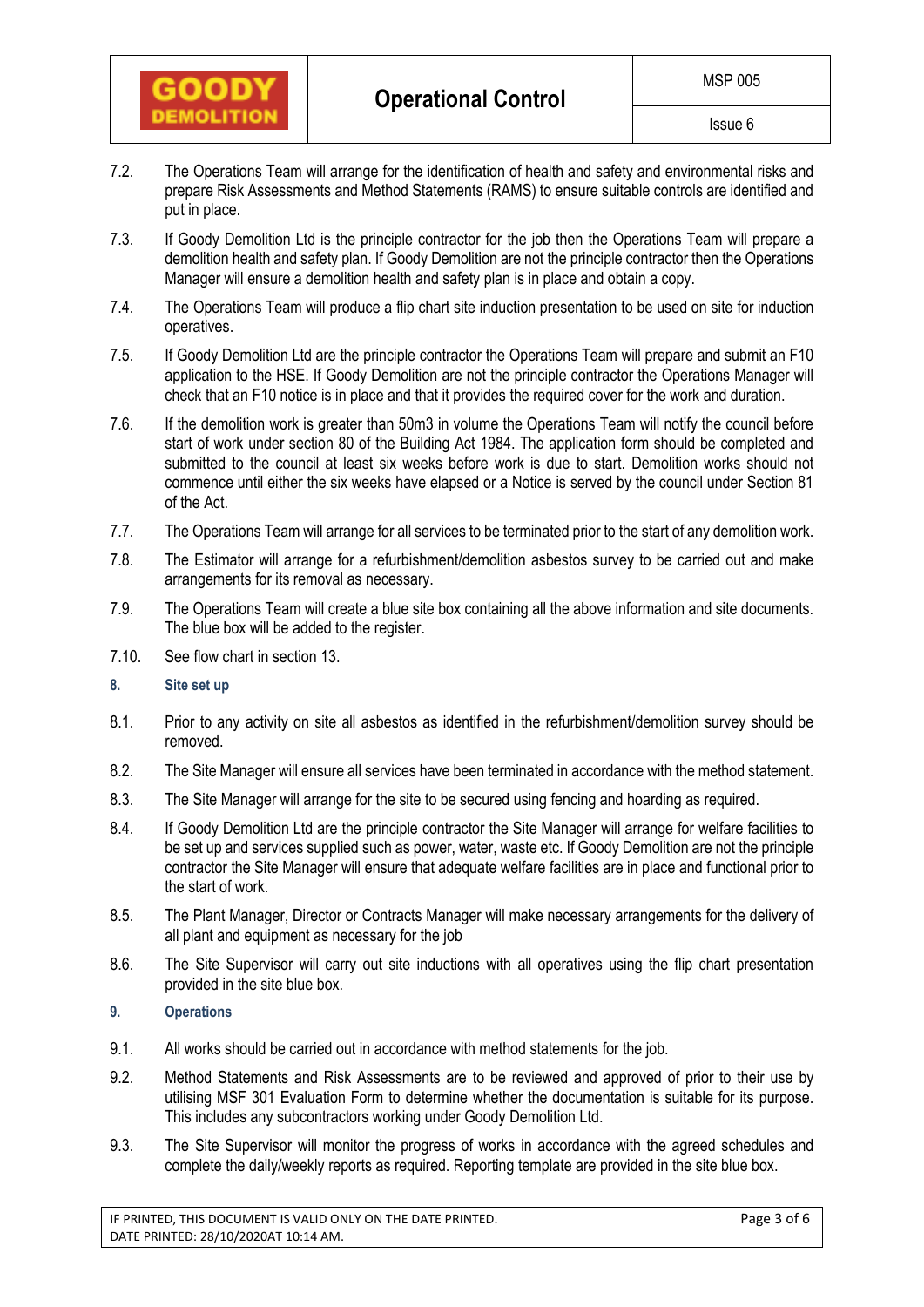

- 7.2. The Operations Team will arrange for the identification of health and safety and environmental risks and prepare Risk Assessments and Method Statements (RAMS) to ensure suitable controls are identified and put in place.
- 7.3. If Goody Demolition Ltd is the principle contractor for the job then the Operations Team will prepare a demolition health and safety plan. If Goody Demolition are not the principle contractor then the Operations Manager will ensure a demolition health and safety plan is in place and obtain a copy.
- 7.4. The Operations Team will produce a flip chart site induction presentation to be used on site for induction operatives.
- 7.5. If Goody Demolition Ltd are the principle contractor the Operations Team will prepare and submit an F10 application to the HSE. If Goody Demolition are not the principle contractor the Operations Manager will check that an F10 notice is in place and that it provides the required cover for the work and duration.
- 7.6. If the demolition work is greater than 50m3 in volume the Operations Team will notify the council before start of work under section 80 of the Building Act 1984. The application form should be completed and submitted to the council at least six weeks before work is due to start. Demolition works should not commence until either the six weeks have elapsed or a Notice is served by the council under Section 81 of the Act.
- 7.7. The Operations Team will arrange for all services to be terminated prior to the start of any demolition work.
- 7.8. The Estimator will arrange for a refurbishment/demolition asbestos survey to be carried out and make arrangements for its removal as necessary.
- 7.9. The Operations Team will create a blue site box containing all the above information and site documents. The blue box will be added to the register.
- 7.10. See flow chart in section 13.
- **8. Site set up**
- 8.1. Prior to any activity on site all asbestos as identified in the refurbishment/demolition survey should be removed.
- 8.2. The Site Manager will ensure all services have been terminated in accordance with the method statement.
- 8.3. The Site Manager will arrange for the site to be secured using fencing and hoarding as required.
- 8.4. If Goody Demolition Ltd are the principle contractor the Site Manager will arrange for welfare facilities to be set up and services supplied such as power, water, waste etc. If Goody Demolition are not the principle contractor the Site Manager will ensure that adequate welfare facilities are in place and functional prior to the start of work.
- 8.5. The Plant Manager, Director or Contracts Manager will make necessary arrangements for the delivery of all plant and equipment as necessary for the job
- 8.6. The Site Supervisor will carry out site inductions with all operatives using the flip chart presentation provided in the site blue box.
- **9. Operations**
- 9.1. All works should be carried out in accordance with method statements for the job.
- 9.2. Method Statements and Risk Assessments are to be reviewed and approved of prior to their use by utilising MSF 301 Evaluation Form to determine whether the documentation is suitable for its purpose. This includes any subcontractors working under Goody Demolition Ltd.
- 9.3. The Site Supervisor will monitor the progress of works in accordance with the agreed schedules and complete the daily/weekly reports as required. Reporting template are provided in the site blue box.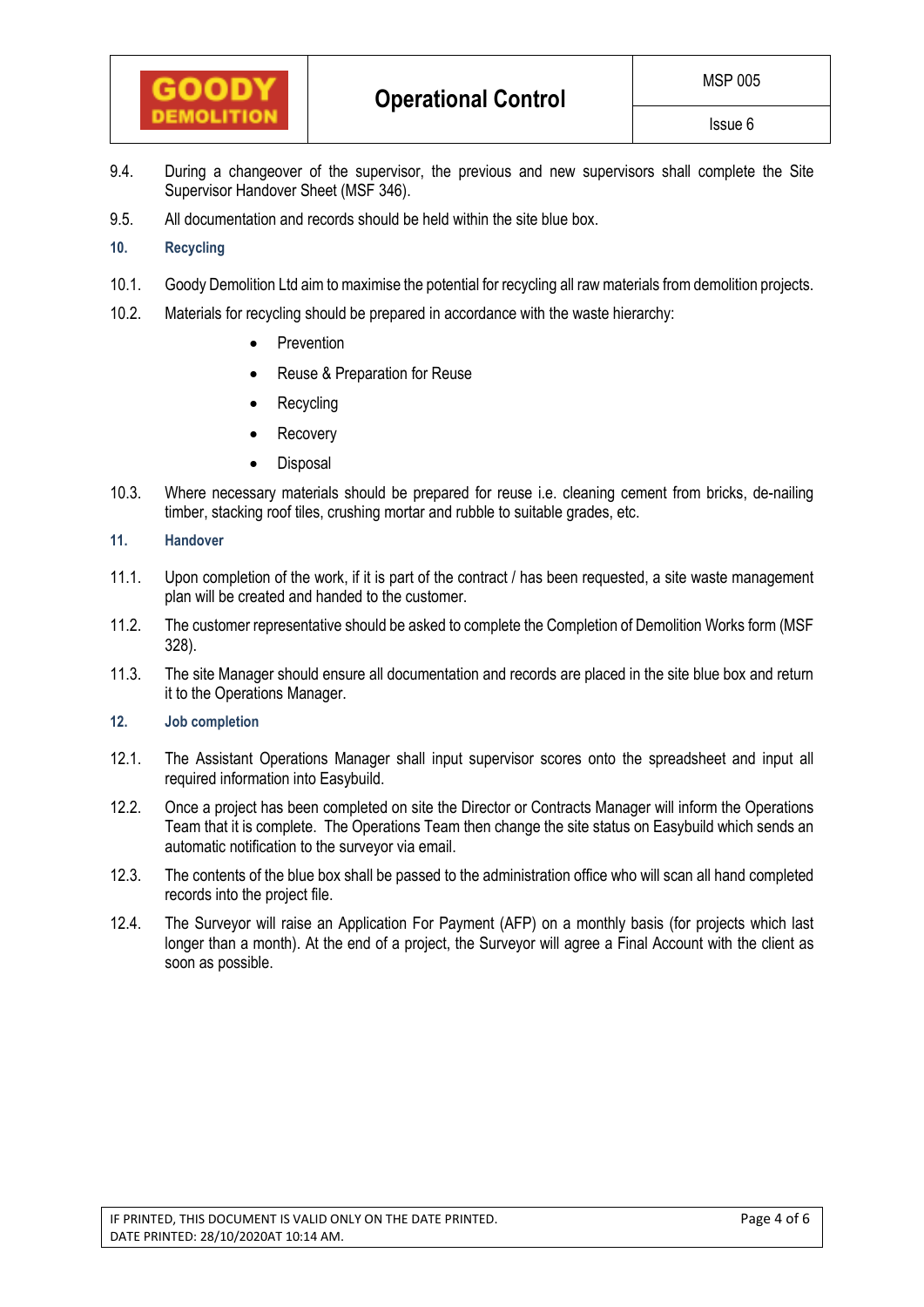

- 9.4. During a changeover of the supervisor, the previous and new supervisors shall complete the Site Supervisor Handover Sheet (MSF 346).
- 9.5. All documentation and records should be held within the site blue box.

# **10. Recycling**

- 10.1. Goody Demolition Ltd aim to maximise the potential for recycling all raw materials from demolition projects.
- 10.2. Materials for recycling should be prepared in accordance with the waste hierarchy:
	- Prevention
	- Reuse & Preparation for Reuse
	- Recycling
	- Recovery
	- Disposal
- 10.3. Where necessary materials should be prepared for reuse i.e. cleaning cement from bricks, de-nailing timber, stacking roof tiles, crushing mortar and rubble to suitable grades, etc.

# **11. Handover**

- 11.1. Upon completion of the work, if it is part of the contract / has been requested, a site waste management plan will be created and handed to the customer.
- 11.2. The customer representative should be asked to complete the Completion of Demolition Works form (MSF 328).
- 11.3. The site Manager should ensure all documentation and records are placed in the site blue box and return it to the Operations Manager.
- **12. Job completion**
- 12.1. The Assistant Operations Manager shall input supervisor scores onto the spreadsheet and input all required information into Easybuild.
- 12.2. Once a project has been completed on site the Director or Contracts Manager will inform the Operations Team that it is complete. The Operations Team then change the site status on Easybuild which sends an automatic notification to the surveyor via email.
- 12.3. The contents of the blue box shall be passed to the administration office who will scan all hand completed records into the project file.
- 12.4. The Surveyor will raise an Application For Payment (AFP) on a monthly basis (for projects which last longer than a month). At the end of a project, the Surveyor will agree a Final Account with the client as soon as possible.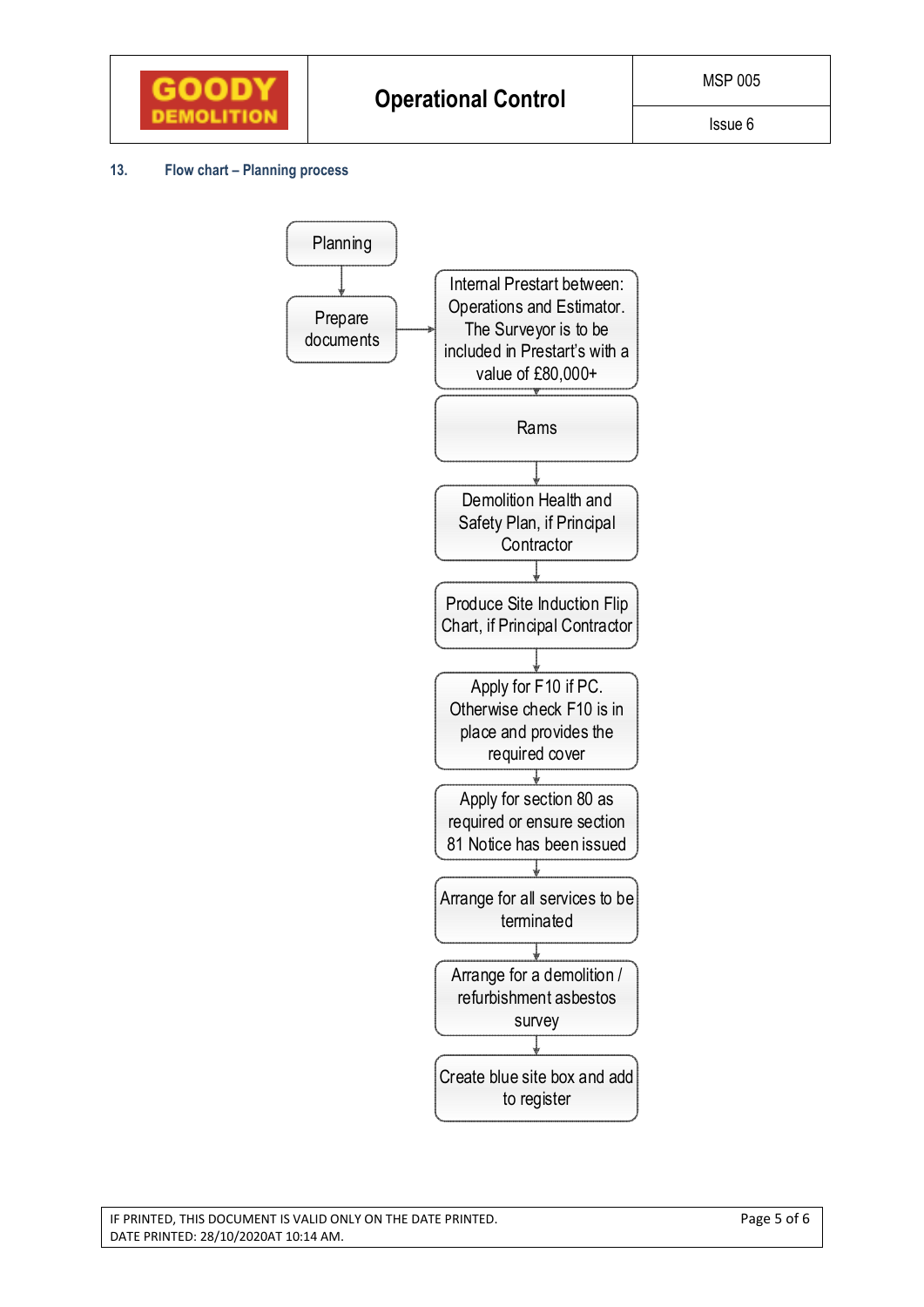

### **13. Flow chart – Planning process**